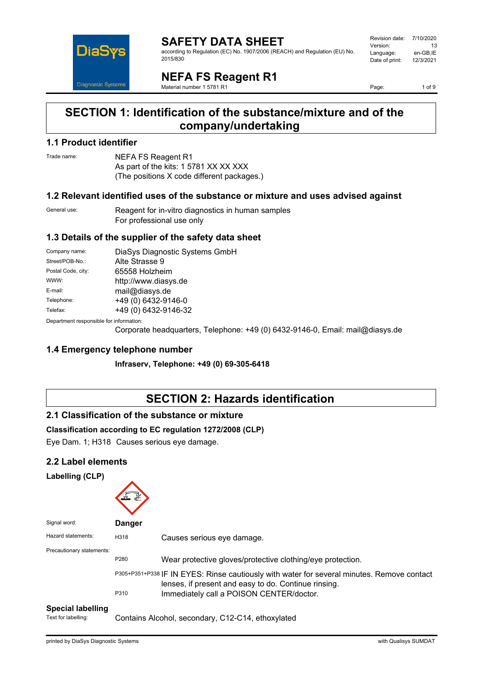

#### **SAFETY DATA SHEET** according to Regulation (EC) No. 1907/2006 (REACH) and Regulation (EU) No. 2015/830

| Revision date: | 7/10/2020 |
|----------------|-----------|
| Version:       | 13        |
| Language:      | en-GB.IE  |
| Date of print: | 12/3/2021 |
|                |           |

**NEFA FS Reagent R1** Material number 1 5781 R1

Page: 1 of 9

### **SECTION 1: Identification of the substance/mixture and of the company/undertaking**

#### **1.1 Product identifier**

Trade name: NEFA FS Reagent R1 As part of the kits: 1 5781 XX XX XXX (The positions X code different packages.)

#### **1.2 Relevant identified uses of the substance or mixture and uses advised against**

General use: Reagent for in-vitro diagnostics in human samples For professional use only

#### **1.3 Details of the supplier of the safety data sheet**

| Company name:                           | DiaSys Diagnostic Systems GmbH |  |
|-----------------------------------------|--------------------------------|--|
| Street/POB-No.:                         | Alte Strasse 9                 |  |
| Postal Code, city:                      | 65558 Holzheim                 |  |
| WWW:                                    | http://www.diasys.de           |  |
| E-mail:                                 | mail@diasys.de                 |  |
| Telephone:                              | +49 (0) 6432-9146-0            |  |
| Telefax:                                | +49 (0) 6432-9146-32           |  |
| Department reaponaible for information: |                                |  |

Department responsible for information:

Corporate headquarters, Telephone: +49 (0) 6432-9146-0, Email: mail@diasys.de

#### **1.4 Emergency telephone number**

**Infraserv, Telephone: +49 (0) 69-305-6418**

### **SECTION 2: Hazards identification**

#### **2.1 Classification of the substance or mixture**

#### **Classification according to EC regulation 1272/2008 (CLP)**

Eye Dam. 1; H318 Causes serious eye damage.

#### **2.2 Label elements**

#### **Labelling (CLP)**

| Signal word:                        | <b>Danger</b> |                                                                                                                                                    |
|-------------------------------------|---------------|----------------------------------------------------------------------------------------------------------------------------------------------------|
| Hazard statements:                  | H318          | Causes serious eye damage.                                                                                                                         |
| Precautionary statements:           | P280          | Wear protective gloves/protective clothing/eye protection.                                                                                         |
|                                     |               | P305+P351+P338 IF IN EYES: Rinse cautiously with water for several minutes. Remove contact<br>lenses, if present and easy to do. Continue rinsing. |
| Andreas California de la california | P310          | Immediately call a POISON CENTER/doctor.                                                                                                           |

#### **Special labelling**

Text for labelling: Contains Alcohol, secondary, C12-C14, ethoxylated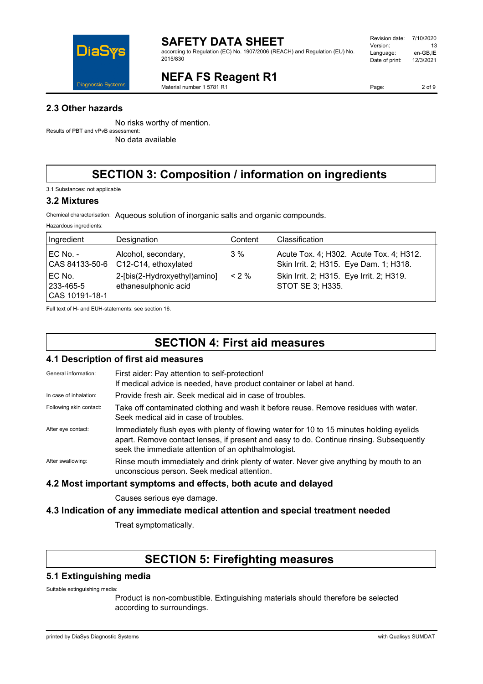

according to Regulation (EC) No. 1907/2006 (REACH) and Regulation (EU) No. 2015/830

#### Revision date: 7/10/2020 Version: 13<br>Language: en-GB.IE Language: en-GB,IE<br>Date of print: 12/3/2021 Date of print:

**NEFA FS Reagent R1**

Material number 1 5781 R1

Page: 2 of 9

#### **2.3 Other hazards**

No risks worthy of mention. Results of PBT and vPvB assessment:

No data available

### **SECTION 3: Composition / information on ingredients**

3.1 Substances: not applicable

#### **3.2 Mixtures**

Hazardous ingredients:

Chemical characterisation: Aqueous solution of inorganic salts and organic compounds.

| Ingredient                              | Designation                                          | Content  | Classification                                                                    |
|-----------------------------------------|------------------------------------------------------|----------|-----------------------------------------------------------------------------------|
| EC No. -<br>CAS 84133-50-6              | Alcohol, secondary,<br>C12-C14, ethoxylated          | 3%       | Acute Tox. 4; H302. Acute Tox. 4; H312.<br>Skin Irrit. 2; H315. Eye Dam. 1; H318. |
| EC No.<br>l 233-465-5<br>CAS 10191-18-1 | 2-[bis(2-Hydroxyethyl)amino]<br>ethanesulphonic acid | $< 2 \%$ | Skin Irrit. 2; H315. Eye Irrit. 2; H319.<br>STOT SE 3: H335.                      |

Full text of H- and EUH-statements: see section 16.

### **SECTION 4: First aid measures**

#### **4.1 Description of first aid measures**

| <b>The Description of instancial incasures</b> |                                                                                                                                                                                                                                            |  |
|------------------------------------------------|--------------------------------------------------------------------------------------------------------------------------------------------------------------------------------------------------------------------------------------------|--|
| General information:                           | First aider: Pay attention to self-protection!<br>If medical advice is needed, have product container or label at hand.                                                                                                                    |  |
| In case of inhalation:                         | Provide fresh air. Seek medical aid in case of troubles.                                                                                                                                                                                   |  |
| Following skin contact:                        | Take off contaminated clothing and wash it before reuse. Remove residues with water.<br>Seek medical aid in case of troubles.                                                                                                              |  |
| After eye contact:                             | Immediately flush eyes with plenty of flowing water for 10 to 15 minutes holding eyelids<br>apart. Remove contact lenses, if present and easy to do. Continue rinsing. Subsequently<br>seek the immediate attention of an ophthalmologist. |  |
| After swallowing:                              | Rinse mouth immediately and drink plenty of water. Never give anything by mouth to an<br>unconscious person. Seek medical attention.                                                                                                       |  |
|                                                |                                                                                                                                                                                                                                            |  |

#### **4.2 Most important symptoms and effects, both acute and delayed**

Causes serious eye damage.

#### **4.3 Indication of any immediate medical attention and special treatment needed**

Treat symptomatically.

### **SECTION 5: Firefighting measures**

#### **5.1 Extinguishing media**

Suitable extinguishing media:

Product is non-combustible. Extinguishing materials should therefore be selected according to surroundings.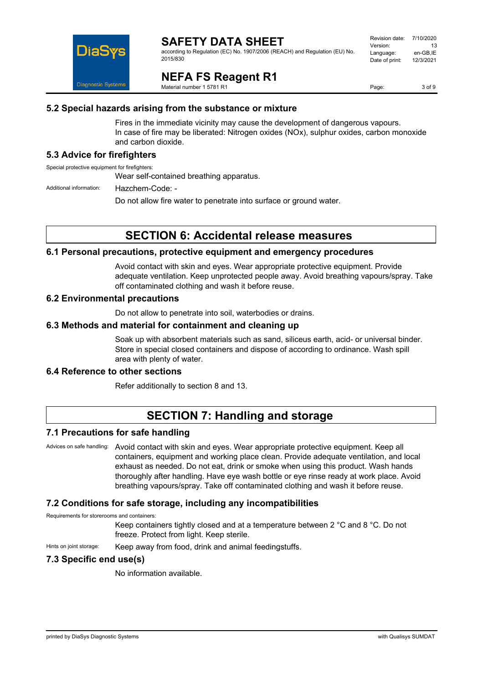

according to Regulation (EC) No. 1907/2006 (REACH) and Regulation (EU) No. 2015/830

| Revision date: | 7/10/2020 |
|----------------|-----------|
| Version:       | 13        |
| Language:      | en-GB,IE  |
| Date of print: | 12/3/2021 |
|                |           |

**NEFA FS Reagent R1**

Material number 1 5781 R1

Page: 3 of 9

#### **5.2 Special hazards arising from the substance or mixture**

Fires in the immediate vicinity may cause the development of dangerous vapours. In case of fire may be liberated: Nitrogen oxides (NOx), sulphur oxides, carbon monoxide and carbon dioxide.

#### **5.3 Advice for firefighters**

Special protective equipment for firefighters:

Wear self-contained breathing apparatus.

Additional information: Hazchem-Code: -

Do not allow fire water to penetrate into surface or ground water.

### **SECTION 6: Accidental release measures**

#### **6.1 Personal precautions, protective equipment and emergency procedures**

Avoid contact with skin and eyes. Wear appropriate protective equipment. Provide adequate ventilation. Keep unprotected people away. Avoid breathing vapours/spray. Take off contaminated clothing and wash it before reuse.

#### **6.2 Environmental precautions**

Do not allow to penetrate into soil, waterbodies or drains.

#### **6.3 Methods and material for containment and cleaning up**

Soak up with absorbent materials such as sand, siliceus earth, acid- or universal binder. Store in special closed containers and dispose of according to ordinance. Wash spill area with plenty of water.

#### **6.4 Reference to other sections**

Refer additionally to section 8 and 13.

### **SECTION 7: Handling and storage**

#### **7.1 Precautions for safe handling**

Advices on safe handling: Avoid contact with skin and eyes. Wear appropriate protective equipment. Keep all containers, equipment and working place clean. Provide adequate ventilation, and local exhaust as needed. Do not eat, drink or smoke when using this product. Wash hands thoroughly after handling. Have eye wash bottle or eye rinse ready at work place. Avoid breathing vapours/spray. Take off contaminated clothing and wash it before reuse.

#### **7.2 Conditions for safe storage, including any incompatibilities**

Requirements for storerooms and containers:

Keep containers tightly closed and at a temperature between 2 °C and 8 °C. Do not freeze. Protect from light. Keep sterile.

Hints on joint storage: Keep away from food, drink and animal feedingstuffs.

#### **7.3 Specific end use(s)**

No information available.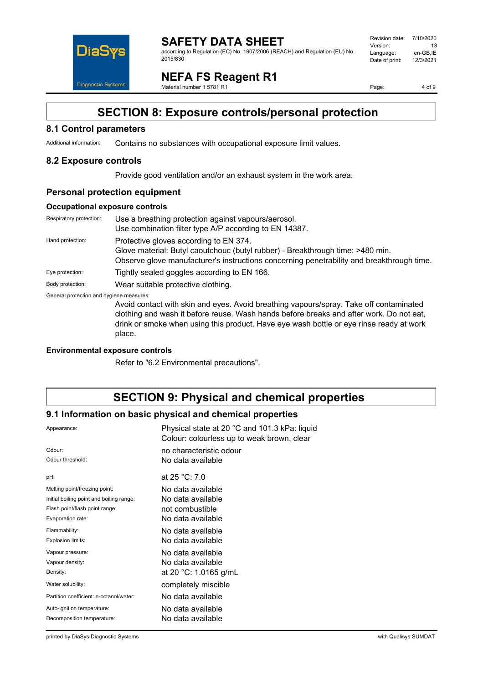

#### **SAFETY DATA SHEET** according to Regulation (EC) No. 1907/2006 (REACH) and Regulation (EU) No. 2015/830

Revision date: 7/10/2020 Version: 13<br>Language: en-GB,IE Language: en-GB,IE<br>Date of print: 12/3/2021 Date of print:

**NEFA FS Reagent R1**

Material number 1 5781 R1

Page: 4 of 9

### **SECTION 8: Exposure controls/personal protection**

#### **8.1 Control parameters**

Additional information: Contains no substances with occupational exposure limit values.

#### **8.2 Exposure controls**

Provide good ventilation and/or an exhaust system in the work area.

#### **Personal protection equipment**

#### **Occupational exposure controls**

| Respiratory protection:                  | Use a breathing protection against vapours/aerosol.<br>Use combination filter type A/P according to EN 14387.                                                                                                                                                                          |
|------------------------------------------|----------------------------------------------------------------------------------------------------------------------------------------------------------------------------------------------------------------------------------------------------------------------------------------|
| Hand protection:                         | Protective gloves according to EN 374.<br>Glove material: Butyl caoutchouc (butyl rubber) - Breakthrough time: >480 min.<br>Observe glove manufacturer's instructions concerning penetrability and breakthrough time.                                                                  |
| Eye protection:                          | Tightly sealed goggles according to EN 166.                                                                                                                                                                                                                                            |
| Body protection:                         | Wear suitable protective clothing.                                                                                                                                                                                                                                                     |
| General protection and hygiene measures: | Avoid contact with skin and eyes. Avoid breathing vapours/spray. Take off contaminated<br>clothing and wash it before reuse. Wash hands before breaks and after work. Do not eat,<br>drink or smoke when using this product. Have eye wash bottle or eye rinse ready at work<br>place. |

#### **Environmental exposure controls**

Refer to "6.2 Environmental precautions".

### **SECTION 9: Physical and chemical properties**

#### **9.1 Information on basic physical and chemical properties**

| Appearance:                              | Physical state at 20 °C and 101.3 kPa: liquid<br>Colour: colourless up to weak brown, clear |
|------------------------------------------|---------------------------------------------------------------------------------------------|
| Odour:                                   | no characteristic odour                                                                     |
| Odour threshold:                         | No data available                                                                           |
| pH:                                      | at $25 °C: 7.0$                                                                             |
| Melting point/freezing point:            | No data available                                                                           |
| Initial boiling point and boiling range: | No data available                                                                           |
| Flash point/flash point range:           | not combustible                                                                             |
| Evaporation rate:                        | No data available                                                                           |
| Flammability:                            | No data available                                                                           |
| Explosion limits:                        | No data available                                                                           |
| Vapour pressure:                         | No data available                                                                           |
| Vapour density:                          | No data available                                                                           |
| Density:                                 | at 20 °C: 1.0165 g/mL                                                                       |
| Water solubility:                        | completely miscible                                                                         |
| Partition coefficient: n-octanol/water:  | No data available                                                                           |
| Auto-ignition temperature:               | No data available                                                                           |
| Decomposition temperature:               | No data available                                                                           |
|                                          |                                                                                             |

printed by DiaSys Diagnostic Systems with Qualisys SUMDAT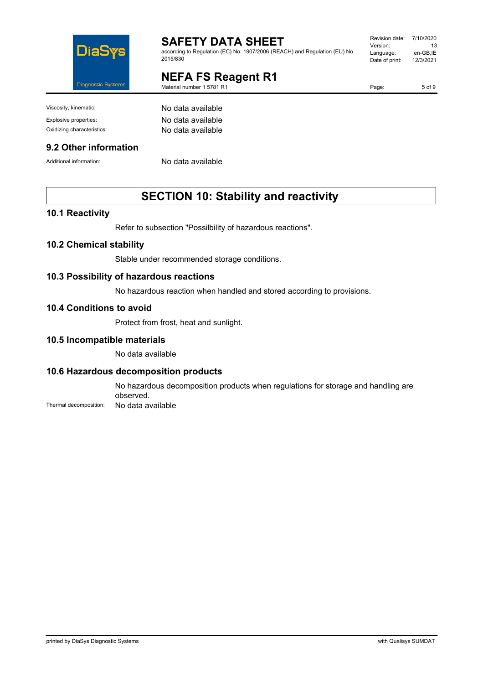

according to Regulation (EC) No. 1907/2006 (REACH) and Regulation (EU) No. 2015/830

### **NEFA FS Reagent R1**

Material number 1 5781 R1

Revision date: 7/10/2020 Version: 13 Language: en-GB,IE<br>Date of print: 12/3/2021 Date of print:

Page: 5 of 9

Viscosity, kinematic: No data available

#### **9.2 Other information**

Explosive properties: No data available Oxidizing characteristics: No data available

Additional information: No data available

### **SECTION 10: Stability and reactivity**

#### **10.1 Reactivity**

Refer to subsection "Possilbility of hazardous reactions".

#### **10.2 Chemical stability**

Stable under recommended storage conditions.

#### **10.3 Possibility of hazardous reactions**

No hazardous reaction when handled and stored according to provisions.

#### **10.4 Conditions to avoid**

Protect from frost, heat and sunlight.

#### **10.5 Incompatible materials**

No data available

#### **10.6 Hazardous decomposition products**

No hazardous decomposition products when regulations for storage and handling are observed.

Thermal decomposition: No data available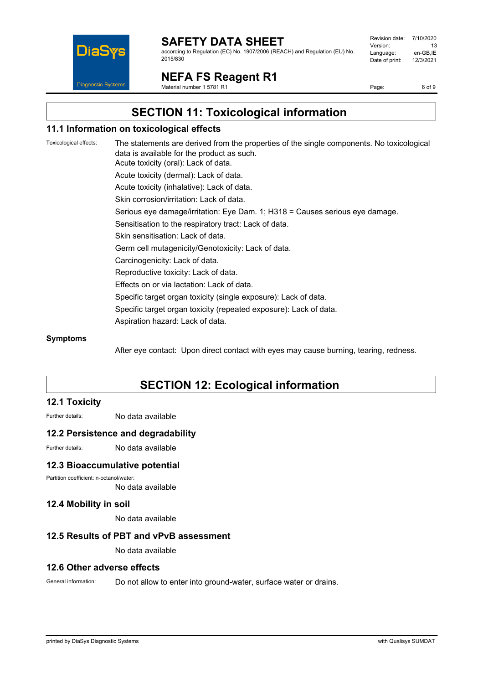

according to Regulation (EC) No. 1907/2006 (REACH) and Regulation (EU) No. 2015/830

| Revision date: | 7/10/2020 |
|----------------|-----------|
| Version:       | 13        |
| Language:      | en-GB.IE  |
| Date of print: | 12/3/2021 |
|                |           |

**NEFA FS Reagent R1**

Material number 1 5781 R1

Page: 6 of 9

### **SECTION 11: Toxicological information**

#### **11.1 Information on toxicological effects**

Toxicological effects: The statements are derived from the properties of the single components. No toxicological data is available for the product as such. Acute toxicity (oral): Lack of data. Acute toxicity (dermal): Lack of data. Acute toxicity (inhalative): Lack of data. Skin corrosion/irritation: Lack of data. Serious eye damage/irritation: Eye Dam. 1; H318 = Causes serious eye damage. Sensitisation to the respiratory tract: Lack of data. Skin sensitisation: Lack of data. Germ cell mutagenicity/Genotoxicity: Lack of data. Carcinogenicity: Lack of data. Reproductive toxicity: Lack of data. Effects on or via lactation: Lack of data. Specific target organ toxicity (single exposure): Lack of data. Specific target organ toxicity (repeated exposure): Lack of data. Aspiration hazard: Lack of data.

#### **Symptoms**

After eye contact: Upon direct contact with eyes may cause burning, tearing, redness.

### **SECTION 12: Ecological information**

#### **12.1 Toxicity**

Further details: No data available

#### **12.2 Persistence and degradability**

Further details: No data available

#### **12.3 Bioaccumulative potential**

Partition coefficient: n-octanol/water:

No data available

#### **12.4 Mobility in soil**

No data available

#### **12.5 Results of PBT and vPvB assessment**

No data available

#### **12.6 Other adverse effects**

General information: Do not allow to enter into ground-water, surface water or drains.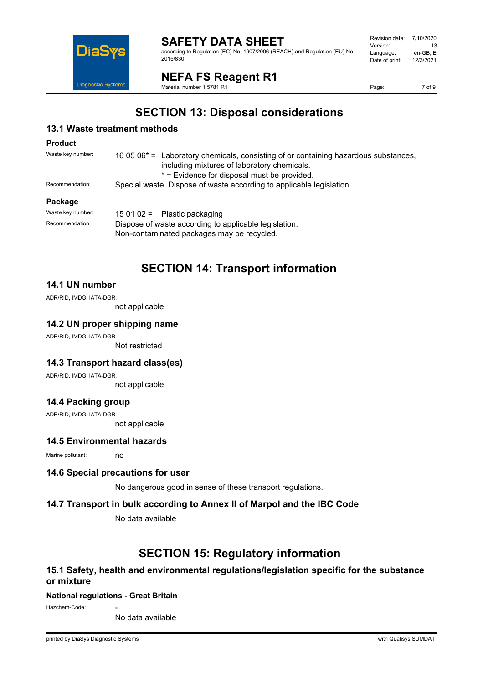

according to Regulation (EC) No. 1907/2006 (REACH) and Regulation (EU) No. 2015/830

| Revision date: | 7/10/2020 |
|----------------|-----------|
| Version:       | 13        |
| Language:      | en-GB.IE  |
| Date of print: | 12/3/2021 |
|                |           |

**NEFA FS Reagent R1**

Material number 1 5781 R1

Page: 7 of 9

### **SECTION 13: Disposal considerations**

#### **13.1 Waste treatment methods**

#### **Product**

| Waste key number: | 16 05 06 $*$ = Laboratory chemicals, consisting of or containing hazardous substances, |
|-------------------|----------------------------------------------------------------------------------------|
|                   | including mixtures of laboratory chemicals.                                            |
|                   | * = Evidence for disposal must be provided.                                            |
| Recommendation:   | Special waste. Dispose of waste according to applicable legislation.                   |
|                   |                                                                                        |

#### **Package**

| Waste kev number: | 15 01 02 = Plastic packaging                          |
|-------------------|-------------------------------------------------------|
| Recommendation:   | Dispose of waste according to applicable legislation. |
|                   | Non-contaminated packages may be recycled.            |

### **SECTION 14: Transport information**

#### **14.1 UN number**

ADR/RID, IMDG, IATA-DGR:

not applicable

#### **14.2 UN proper shipping name**

ADR/RID, IMDG, IATA-DGR:

Not restricted

#### **14.3 Transport hazard class(es)**

ADR/RID, IMDG, IATA-DGR:

not applicable

#### **14.4 Packing group**

ADR/RID, IMDG, IATA-DGR:

not applicable

### **14.5 Environmental hazards**

Marine pollutant: no

#### **14.6 Special precautions for user**

No dangerous good in sense of these transport regulations.

#### **14.7 Transport in bulk according to Annex II of Marpol and the IBC Code**

No data available

### **SECTION 15: Regulatory information**

#### **15.1 Safety, health and environmental regulations/legislation specific for the substance or mixture**

#### **National regulations - Great Britain**

Hazchem-Code:

No data available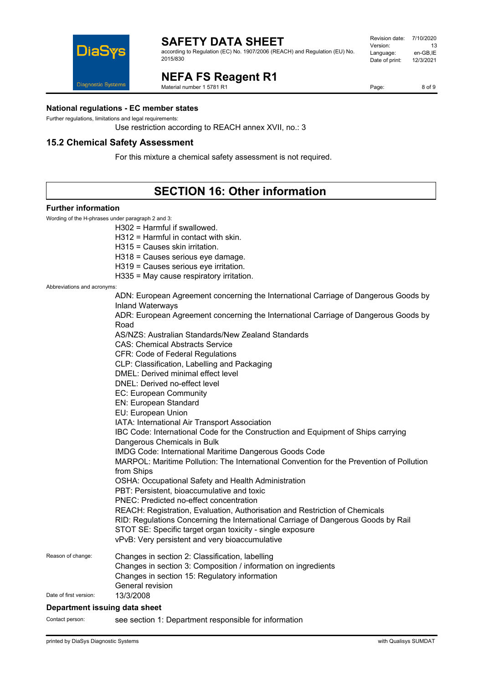

according to Regulation (EC) No. 1907/2006 (REACH) and Regulation (EU) No. 2015/830

#### Revision date: 7/10/2020 Version: 13<br>Language: en-GB,IE Language: en-GB,IE<br>Date of print: 12/3/2021 Date of print:

**NEFA FS Reagent R1**

Material number 1 5781 R1

Page: 8 of 9

**National regulations - EC member states**

Further regulations, limitations and legal requirements:

Use restriction according to REACH annex XVII, no.: 3

#### **15.2 Chemical Safety Assessment**

For this mixture a chemical safety assessment is not required.

## **SECTION 16: Other information**

#### **Further information**

Wording of the H-phrases under paragraph 2 and 3:

H302 = Harmful if swallowed.

H312 = Harmful in contact with skin.

H315 = Causes skin irritation.

H318 = Causes serious eye damage.

H319 = Causes serious eye irritation.

H335 = May cause respiratory irritation.

Abbreviations and acronyms:

|                        | ADN: European Agreement concerning the International Carriage of Dangerous Goods by<br><b>Inland Waterways</b> |
|------------------------|----------------------------------------------------------------------------------------------------------------|
|                        | ADR: European Agreement concerning the International Carriage of Dangerous Goods by<br>Road                    |
|                        | AS/NZS: Australian Standards/New Zealand Standards                                                             |
|                        | <b>CAS: Chemical Abstracts Service</b>                                                                         |
|                        | <b>CFR: Code of Federal Regulations</b>                                                                        |
|                        | CLP: Classification, Labelling and Packaging                                                                   |
|                        | DMEL: Derived minimal effect level                                                                             |
|                        | DNEL: Derived no-effect level                                                                                  |
|                        | EC: European Community                                                                                         |
|                        | EN: European Standard                                                                                          |
|                        | EU: European Union                                                                                             |
|                        | IATA: International Air Transport Association                                                                  |
|                        | IBC Code: International Code for the Construction and Equipment of Ships carrying                              |
|                        | Dangerous Chemicals in Bulk                                                                                    |
|                        | IMDG Code: International Maritime Dangerous Goods Code                                                         |
|                        | MARPOL: Maritime Pollution: The International Convention for the Prevention of Pollution<br>from Ships         |
|                        | OSHA: Occupational Safety and Health Administration                                                            |
|                        | PBT: Persistent, bioaccumulative and toxic                                                                     |
|                        | PNEC: Predicted no-effect concentration                                                                        |
|                        | REACH: Registration, Evaluation, Authorisation and Restriction of Chemicals                                    |
|                        | RID: Regulations Concerning the International Carriage of Dangerous Goods by Rail                              |
|                        | STOT SE: Specific target organ toxicity - single exposure                                                      |
|                        | vPvB: Very persistent and very bioaccumulative                                                                 |
| Reason of change:      | Changes in section 2: Classification, labelling                                                                |
|                        | Changes in section 3: Composition / information on ingredients                                                 |
|                        | Changes in section 15: Regulatory information                                                                  |
|                        | General revision                                                                                               |
| Date of first version: | 13/3/2008                                                                                                      |
|                        |                                                                                                                |

#### **Department issuing data sheet**

Contact person: see section 1: Department responsible for information